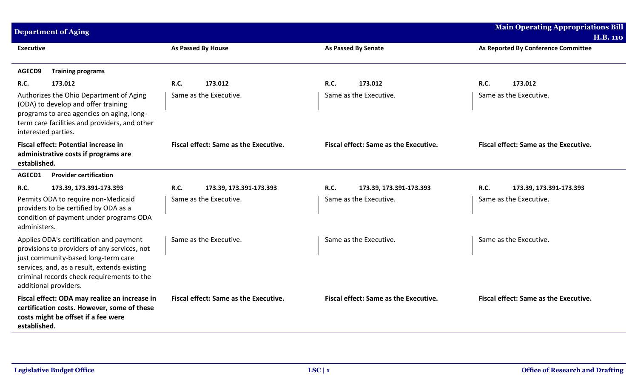|                     | <b>Main Operating Appropriations Bill</b><br><b>Department of Aging</b>                                                                                                                                                                               |                                              |                                              |                                                        |
|---------------------|-------------------------------------------------------------------------------------------------------------------------------------------------------------------------------------------------------------------------------------------------------|----------------------------------------------|----------------------------------------------|--------------------------------------------------------|
| <b>Executive</b>    |                                                                                                                                                                                                                                                       | As Passed By House                           | <b>As Passed By Senate</b>                   | <b>H.B. 110</b><br>As Reported By Conference Committee |
|                     |                                                                                                                                                                                                                                                       |                                              |                                              |                                                        |
| AGECD9              | <b>Training programs</b>                                                                                                                                                                                                                              |                                              |                                              |                                                        |
| R.C.                | 173.012                                                                                                                                                                                                                                               | R.C.<br>173.012                              | R.C.<br>173.012                              | <b>R.C.</b><br>173.012                                 |
| interested parties. | Authorizes the Ohio Department of Aging<br>(ODA) to develop and offer training<br>programs to area agencies on aging, long-<br>term care facilities and providers, and other                                                                          | Same as the Executive.                       | Same as the Executive.                       | Same as the Executive.                                 |
| established.        | <b>Fiscal effect: Potential increase in</b><br>administrative costs if programs are                                                                                                                                                                   | <b>Fiscal effect: Same as the Executive.</b> | Fiscal effect: Same as the Executive.        | <b>Fiscal effect: Same as the Executive.</b>           |
| AGECD1              | <b>Provider certification</b>                                                                                                                                                                                                                         |                                              |                                              |                                                        |
| <b>R.C.</b>         | 173.39, 173.391-173.393                                                                                                                                                                                                                               | R.C.<br>173.39, 173.391-173.393              | R.C.<br>173.39, 173.391-173.393              | <b>R.C.</b><br>173.39, 173.391-173.393                 |
| administers.        | Permits ODA to require non-Medicaid<br>providers to be certified by ODA as a<br>condition of payment under programs ODA                                                                                                                               | Same as the Executive.                       | Same as the Executive.                       | Same as the Executive.                                 |
|                     | Applies ODA's certification and payment<br>provisions to providers of any services, not<br>just community-based long-term care<br>services, and, as a result, extends existing<br>criminal records check requirements to the<br>additional providers. | Same as the Executive.                       | Same as the Executive.                       | Same as the Executive.                                 |
| established.        | Fiscal effect: ODA may realize an increase in<br>certification costs. However, some of these<br>costs might be offset if a fee were                                                                                                                   | <b>Fiscal effect: Same as the Executive.</b> | <b>Fiscal effect: Same as the Executive.</b> | <b>Fiscal effect: Same as the Executive.</b>           |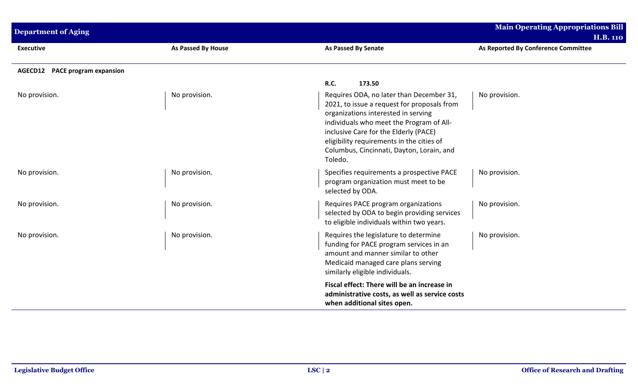| <b>Department of Aging</b>            |                           |                                                                                                                                                                                                                                                                                                                          | <b>Main Operating Appropriations Bill</b><br><b>H.B. 110</b> |
|---------------------------------------|---------------------------|--------------------------------------------------------------------------------------------------------------------------------------------------------------------------------------------------------------------------------------------------------------------------------------------------------------------------|--------------------------------------------------------------|
| <b>Executive</b>                      | <b>As Passed By House</b> | As Passed By Senate                                                                                                                                                                                                                                                                                                      | As Reported By Conference Committee                          |
| <b>AGECD12</b> PACE program expansion |                           |                                                                                                                                                                                                                                                                                                                          |                                                              |
|                                       |                           | <b>R.C.</b><br>173.50                                                                                                                                                                                                                                                                                                    |                                                              |
| No provision.                         | No provision.             | Requires ODA, no later than December 31,<br>2021, to issue a request for proposals from<br>organizations interested in serving<br>individuals who meet the Program of All-<br>inclusive Care for the Elderly (PACE)<br>eligibility requirements in the cities of<br>Columbus, Cincinnati, Dayton, Lorain, and<br>Toledo. | No provision.                                                |
| No provision.                         | No provision.             | Specifies requirements a prospective PACE<br>program organization must meet to be<br>selected by ODA.                                                                                                                                                                                                                    | No provision.                                                |
| No provision.                         | No provision.             | Requires PACE program organizations<br>selected by ODA to begin providing services<br>to eligible individuals within two years.                                                                                                                                                                                          | No provision.                                                |
| No provision.                         | No provision.             | Requires the legislature to determine<br>funding for PACE program services in an<br>amount and manner similar to other<br>Medicaid managed care plans serving<br>similarly eligible individuals.                                                                                                                         | No provision.                                                |
|                                       |                           | Fiscal effect: There will be an increase in<br>administrative costs, as well as service costs<br>when additional sites open.                                                                                                                                                                                             |                                                              |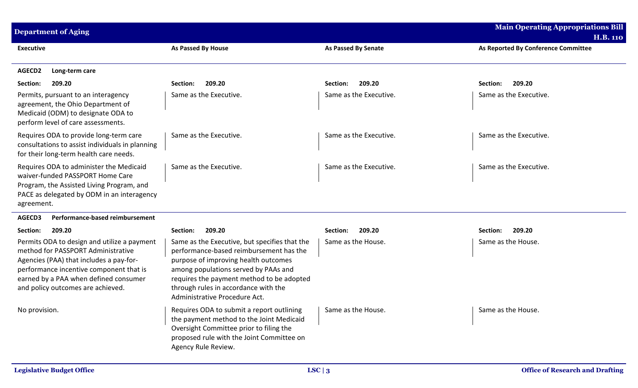| <b>Department of Aging</b>                                                                                                                                                                                                                            |                                                                                                                                                                                                                                                                                                |                            | <b>Main Operating Appropriations Bill</b><br><b>H.B. 110</b> |
|-------------------------------------------------------------------------------------------------------------------------------------------------------------------------------------------------------------------------------------------------------|------------------------------------------------------------------------------------------------------------------------------------------------------------------------------------------------------------------------------------------------------------------------------------------------|----------------------------|--------------------------------------------------------------|
| <b>Executive</b>                                                                                                                                                                                                                                      | <b>As Passed By House</b>                                                                                                                                                                                                                                                                      | <b>As Passed By Senate</b> | As Reported By Conference Committee                          |
| AGECD2<br>Long-term care                                                                                                                                                                                                                              |                                                                                                                                                                                                                                                                                                |                            |                                                              |
| 209.20<br>Section:                                                                                                                                                                                                                                    | 209.20<br>Section:                                                                                                                                                                                                                                                                             | 209.20<br>Section:         | Section:<br>209.20                                           |
| Permits, pursuant to an interagency<br>agreement, the Ohio Department of<br>Medicaid (ODM) to designate ODA to<br>perform level of care assessments.                                                                                                  | Same as the Executive.                                                                                                                                                                                                                                                                         | Same as the Executive.     | Same as the Executive.                                       |
| Requires ODA to provide long-term care<br>consultations to assist individuals in planning<br>for their long-term health care needs.                                                                                                                   | Same as the Executive.                                                                                                                                                                                                                                                                         | Same as the Executive.     | Same as the Executive.                                       |
| Requires ODA to administer the Medicaid<br>waiver-funded PASSPORT Home Care<br>Program, the Assisted Living Program, and<br>PACE as delegated by ODM in an interagency<br>agreement.                                                                  | Same as the Executive.                                                                                                                                                                                                                                                                         | Same as the Executive.     | Same as the Executive.                                       |
| Performance-based reimbursement<br>AGECD3                                                                                                                                                                                                             |                                                                                                                                                                                                                                                                                                |                            |                                                              |
| 209.20<br>Section:                                                                                                                                                                                                                                    | 209.20<br>Section:                                                                                                                                                                                                                                                                             | 209.20<br>Section:         | 209.20<br>Section:                                           |
| Permits ODA to design and utilize a payment<br>method for PASSPORT Administrative<br>Agencies (PAA) that includes a pay-for-<br>performance incentive component that is<br>earned by a PAA when defined consumer<br>and policy outcomes are achieved. | Same as the Executive, but specifies that the<br>performance-based reimbursement has the<br>purpose of improving health outcomes<br>among populations served by PAAs and<br>requires the payment method to be adopted<br>through rules in accordance with the<br>Administrative Procedure Act. | Same as the House.         | Same as the House.                                           |
| No provision.                                                                                                                                                                                                                                         | Requires ODA to submit a report outlining<br>the payment method to the Joint Medicaid<br>Oversight Committee prior to filing the<br>proposed rule with the Joint Committee on<br>Agency Rule Review.                                                                                           | Same as the House.         | Same as the House.                                           |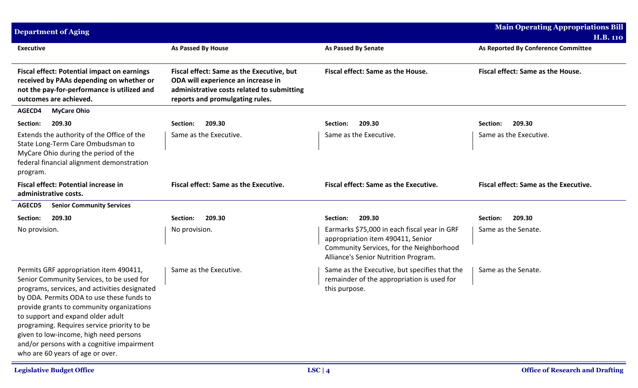| <b>Department of Aging</b>                                                                                                                                                                                                                                                                                                                                                                                                                     |                                                                                                                                                                  |                                                                                                                                                                       | <b>Main Operating Appropriations Bill</b><br><b>H.B. 110</b> |
|------------------------------------------------------------------------------------------------------------------------------------------------------------------------------------------------------------------------------------------------------------------------------------------------------------------------------------------------------------------------------------------------------------------------------------------------|------------------------------------------------------------------------------------------------------------------------------------------------------------------|-----------------------------------------------------------------------------------------------------------------------------------------------------------------------|--------------------------------------------------------------|
| <b>Executive</b>                                                                                                                                                                                                                                                                                                                                                                                                                               | <b>As Passed By House</b>                                                                                                                                        | <b>As Passed By Senate</b>                                                                                                                                            | As Reported By Conference Committee                          |
| <b>Fiscal effect: Potential impact on earnings</b><br>received by PAAs depending on whether or<br>not the pay-for-performance is utilized and<br>outcomes are achieved.                                                                                                                                                                                                                                                                        | Fiscal effect: Same as the Executive, but<br>ODA will experience an increase in<br>administrative costs related to submitting<br>reports and promulgating rules. | Fiscal effect: Same as the House.                                                                                                                                     | Fiscal effect: Same as the House.                            |
| AGECD4<br><b>MyCare Ohio</b>                                                                                                                                                                                                                                                                                                                                                                                                                   |                                                                                                                                                                  |                                                                                                                                                                       |                                                              |
| 209.30<br>Section:                                                                                                                                                                                                                                                                                                                                                                                                                             | 209.30<br>Section:                                                                                                                                               | 209.30<br>Section:                                                                                                                                                    | 209.30<br>Section:                                           |
| Extends the authority of the Office of the<br>State Long-Term Care Ombudsman to<br>MyCare Ohio during the period of the<br>federal financial alignment demonstration<br>program.                                                                                                                                                                                                                                                               | Same as the Executive.                                                                                                                                           | Same as the Executive.                                                                                                                                                | Same as the Executive.                                       |
| <b>Fiscal effect: Potential increase in</b><br>administrative costs.                                                                                                                                                                                                                                                                                                                                                                           | <b>Fiscal effect: Same as the Executive.</b>                                                                                                                     | <b>Fiscal effect: Same as the Executive.</b>                                                                                                                          | <b>Fiscal effect: Same as the Executive.</b>                 |
| AGECD5<br><b>Senior Community Services</b>                                                                                                                                                                                                                                                                                                                                                                                                     |                                                                                                                                                                  |                                                                                                                                                                       |                                                              |
| 209.30<br>Section:                                                                                                                                                                                                                                                                                                                                                                                                                             | 209.30<br>Section:                                                                                                                                               | Section:<br>209.30                                                                                                                                                    | 209.30<br>Section:                                           |
| No provision.                                                                                                                                                                                                                                                                                                                                                                                                                                  | No provision.                                                                                                                                                    | Earmarks \$75,000 in each fiscal year in GRF<br>appropriation item 490411, Senior<br>Community Services, for the Neighborhood<br>Alliance's Senior Nutrition Program. | Same as the Senate.                                          |
| Permits GRF appropriation item 490411,<br>Senior Community Services, to be used for<br>programs, services, and activities designated<br>by ODA. Permits ODA to use these funds to<br>provide grants to community organizations<br>to support and expand older adult<br>programing. Requires service priority to be<br>given to low-income, high need persons<br>and/or persons with a cognitive impairment<br>who are 60 years of age or over. | Same as the Executive.                                                                                                                                           | Same as the Executive, but specifies that the<br>remainder of the appropriation is used for<br>this purpose.                                                          | Same as the Senate.                                          |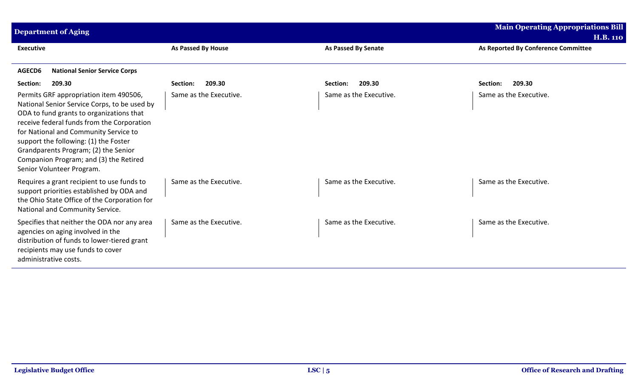| <b>Main Operating Appropriations Bill</b><br><b>Department of Aging</b>                                                                                                                                                                                                                                                                                                           |                           |                            |                                     |
|-----------------------------------------------------------------------------------------------------------------------------------------------------------------------------------------------------------------------------------------------------------------------------------------------------------------------------------------------------------------------------------|---------------------------|----------------------------|-------------------------------------|
|                                                                                                                                                                                                                                                                                                                                                                                   |                           |                            | <b>H.B. 110</b>                     |
| <b>Executive</b>                                                                                                                                                                                                                                                                                                                                                                  | <b>As Passed By House</b> | <b>As Passed By Senate</b> | As Reported By Conference Committee |
| <b>National Senior Service Corps</b><br>AGECD6                                                                                                                                                                                                                                                                                                                                    |                           |                            |                                     |
| 209.30<br>Section:                                                                                                                                                                                                                                                                                                                                                                | 209.30<br>Section:        | 209.30<br>Section:         | Section:<br>209.30                  |
| Permits GRF appropriation item 490506,<br>National Senior Service Corps, to be used by<br>ODA to fund grants to organizations that<br>receive federal funds from the Corporation<br>for National and Community Service to<br>support the following: (1) the Foster<br>Grandparents Program; (2) the Senior<br>Companion Program; and (3) the Retired<br>Senior Volunteer Program. | Same as the Executive.    | Same as the Executive.     | Same as the Executive.              |
| Requires a grant recipient to use funds to<br>support priorities established by ODA and<br>the Ohio State Office of the Corporation for<br>National and Community Service.                                                                                                                                                                                                        | Same as the Executive.    | Same as the Executive.     | Same as the Executive.              |
| Specifies that neither the ODA nor any area<br>agencies on aging involved in the<br>distribution of funds to lower-tiered grant<br>recipients may use funds to cover<br>administrative costs.                                                                                                                                                                                     | Same as the Executive.    | Same as the Executive.     | Same as the Executive.              |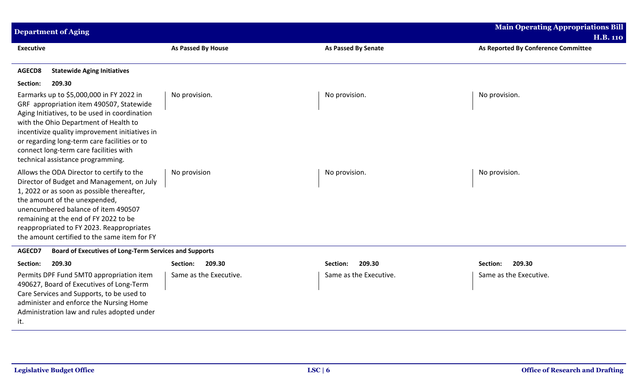| <b>Main Operating Appropriations Bill</b><br><b>Department of Aging</b>                                                                                                                                                                                                                                                                                         |                        |                            |                                                        |
|-----------------------------------------------------------------------------------------------------------------------------------------------------------------------------------------------------------------------------------------------------------------------------------------------------------------------------------------------------------------|------------------------|----------------------------|--------------------------------------------------------|
| <b>Executive</b>                                                                                                                                                                                                                                                                                                                                                | As Passed By House     | <b>As Passed By Senate</b> | <b>H.B. 110</b><br>As Reported By Conference Committee |
| <b>Statewide Aging Initiatives</b><br>AGECD8                                                                                                                                                                                                                                                                                                                    |                        |                            |                                                        |
| 209.30<br>Section:                                                                                                                                                                                                                                                                                                                                              |                        |                            |                                                        |
| Earmarks up to \$5,000,000 in FY 2022 in<br>GRF appropriation item 490507, Statewide<br>Aging Initiatives, to be used in coordination<br>with the Ohio Department of Health to<br>incentivize quality improvement initiatives in<br>or regarding long-term care facilities or to<br>connect long-term care facilities with<br>technical assistance programming. | No provision.          | No provision.              | No provision.                                          |
| Allows the ODA Director to certify to the<br>Director of Budget and Management, on July<br>1, 2022 or as soon as possible thereafter,<br>the amount of the unexpended,<br>unencumbered balance of item 490507<br>remaining at the end of FY 2022 to be<br>reappropriated to FY 2023. Reappropriates<br>the amount certified to the same item for FY             | No provision           | No provision.              | No provision.                                          |
| AGECD7<br><b>Board of Executives of Long-Term Services and Supports</b>                                                                                                                                                                                                                                                                                         |                        |                            |                                                        |
| 209.30<br>Section:                                                                                                                                                                                                                                                                                                                                              | 209.30<br>Section:     | 209.30<br>Section:         | 209.30<br>Section:                                     |
| Permits DPF Fund 5MT0 appropriation item<br>490627, Board of Executives of Long-Term<br>Care Services and Supports, to be used to<br>administer and enforce the Nursing Home<br>Administration law and rules adopted under<br>it.                                                                                                                               | Same as the Executive. | Same as the Executive.     | Same as the Executive.                                 |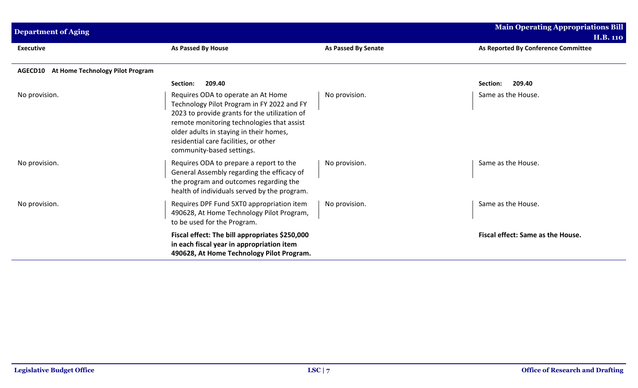| <b>Department of Aging</b>                         |                                                                                                                                                                                                                                                                                                  |                            | <b>Main Operating Appropriations Bill</b>              |
|----------------------------------------------------|--------------------------------------------------------------------------------------------------------------------------------------------------------------------------------------------------------------------------------------------------------------------------------------------------|----------------------------|--------------------------------------------------------|
| <b>Executive</b>                                   | <b>As Passed By House</b>                                                                                                                                                                                                                                                                        | <b>As Passed By Senate</b> | <b>H.B. 110</b><br>As Reported By Conference Committee |
| At Home Technology Pilot Program<br><b>AGECD10</b> |                                                                                                                                                                                                                                                                                                  |                            |                                                        |
|                                                    | 209.40<br>Section:                                                                                                                                                                                                                                                                               |                            | 209.40<br>Section:                                     |
| No provision.                                      | Requires ODA to operate an At Home<br>Technology Pilot Program in FY 2022 and FY<br>2023 to provide grants for the utilization of<br>remote monitoring technologies that assist<br>older adults in staying in their homes,<br>residential care facilities, or other<br>community-based settings. | No provision.              | Same as the House.                                     |
| No provision.                                      | Requires ODA to prepare a report to the<br>General Assembly regarding the efficacy of<br>the program and outcomes regarding the<br>health of individuals served by the program.                                                                                                                  | No provision.              | Same as the House.                                     |
| No provision.                                      | Requires DPF Fund 5XT0 appropriation item<br>490628, At Home Technology Pilot Program,<br>to be used for the Program.                                                                                                                                                                            | No provision.              | Same as the House.                                     |
|                                                    | Fiscal effect: The bill appropriates \$250,000<br>in each fiscal year in appropriation item<br>490628, At Home Technology Pilot Program.                                                                                                                                                         |                            | Fiscal effect: Same as the House.                      |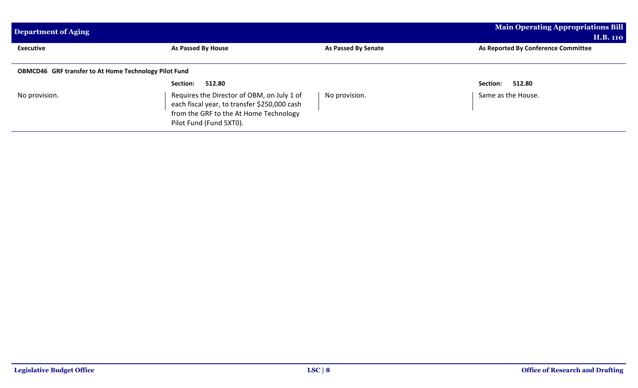| Department of Aging                                          | <b>Main Operating Appropriations Bill</b><br><b>H.B. 110</b>                                                                                                    |                            |                                     |  |  |
|--------------------------------------------------------------|-----------------------------------------------------------------------------------------------------------------------------------------------------------------|----------------------------|-------------------------------------|--|--|
| <b>Executive</b>                                             | As Passed By House                                                                                                                                              | <b>As Passed By Senate</b> | As Reported By Conference Committee |  |  |
| <b>OBMCD46</b> GRF transfer to At Home Technology Pilot Fund |                                                                                                                                                                 |                            |                                     |  |  |
|                                                              | Section:<br>512.80                                                                                                                                              |                            | 512.80<br>Section:                  |  |  |
| No provision.                                                | Requires the Director of OBM, on July 1 of<br>each fiscal year, to transfer \$250,000 cash<br>from the GRF to the At Home Technology<br>Pilot Fund (Fund 5XT0). | No provision.              | Same as the House.                  |  |  |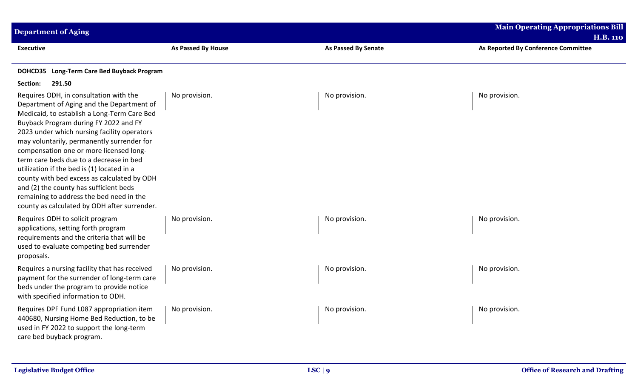| <b>Main Operating Appropriations Bill</b><br><b>Department of Aging</b><br><b>H.B. 110</b>                                                                                                                                                                                                                                                                                                                                                                                                                                                                                                        |                    |                            |                                     |
|---------------------------------------------------------------------------------------------------------------------------------------------------------------------------------------------------------------------------------------------------------------------------------------------------------------------------------------------------------------------------------------------------------------------------------------------------------------------------------------------------------------------------------------------------------------------------------------------------|--------------------|----------------------------|-------------------------------------|
| <b>Executive</b>                                                                                                                                                                                                                                                                                                                                                                                                                                                                                                                                                                                  | As Passed By House | <b>As Passed By Senate</b> | As Reported By Conference Committee |
| DOHCD35 Long-Term Care Bed Buyback Program                                                                                                                                                                                                                                                                                                                                                                                                                                                                                                                                                        |                    |                            |                                     |
| Section:<br>291.50                                                                                                                                                                                                                                                                                                                                                                                                                                                                                                                                                                                |                    |                            |                                     |
| Requires ODH, in consultation with the<br>Department of Aging and the Department of<br>Medicaid, to establish a Long-Term Care Bed<br>Buyback Program during FY 2022 and FY<br>2023 under which nursing facility operators<br>may voluntarily, permanently surrender for<br>compensation one or more licensed long-<br>term care beds due to a decrease in bed<br>utilization if the bed is (1) located in a<br>county with bed excess as calculated by ODH<br>and (2) the county has sufficient beds<br>remaining to address the bed need in the<br>county as calculated by ODH after surrender. | No provision.      | No provision.              | No provision.                       |
| Requires ODH to solicit program<br>applications, setting forth program<br>requirements and the criteria that will be<br>used to evaluate competing bed surrender<br>proposals.                                                                                                                                                                                                                                                                                                                                                                                                                    | No provision.      | No provision.              | No provision.                       |
| Requires a nursing facility that has received<br>payment for the surrender of long-term care<br>beds under the program to provide notice<br>with specified information to ODH.                                                                                                                                                                                                                                                                                                                                                                                                                    | No provision.      | No provision.              | No provision.                       |
| Requires DPF Fund L087 appropriation item<br>440680, Nursing Home Bed Reduction, to be<br>used in FY 2022 to support the long-term<br>care bed buyback program.                                                                                                                                                                                                                                                                                                                                                                                                                                   | No provision.      | No provision.              | No provision.                       |